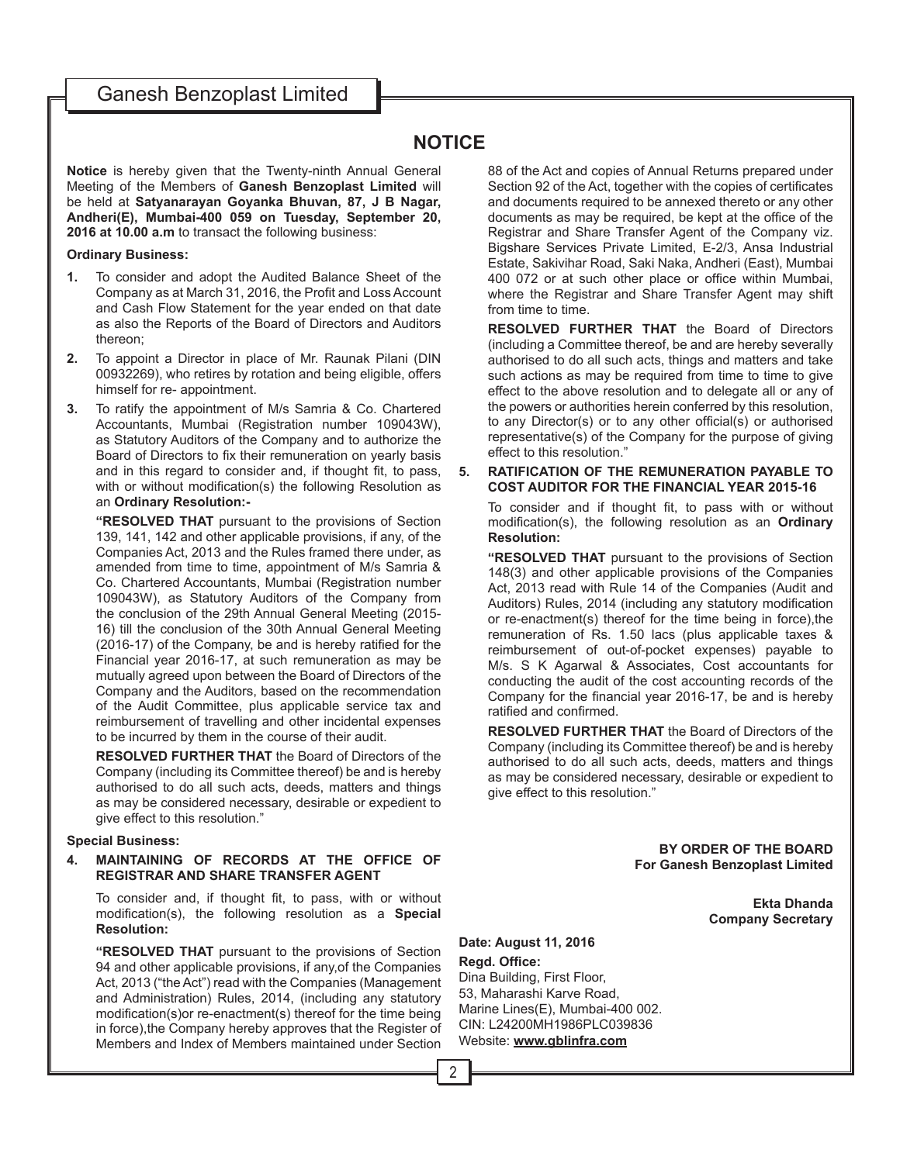## Ganesh Benzoplast Limited

## **NOTICE**

**Notice** is hereby given that the Twenty-ninth Annual General Meeting of the Members of **Ganesh Benzoplast Limited** will be held at **Satyanarayan Goyanka Bhuvan, 87, J B Nagar, Andheri(E), Mumbai-400 059 on Tuesday, September 20, 2016 at 10.00 a.m** to transact the following business:

#### **Ordinary Business:**

- **1.** To consider and adopt the Audited Balance Sheet of the Company as at March 31, 2016, the Profit and Loss Account and Cash Flow Statement for the year ended on that date as also the Reports of the Board of Directors and Auditors thereon;
- **2.** To appoint a Director in place of Mr. Raunak Pilani (DIN 00932269), who retires by rotation and being eligible, offers himself for re- appointment.
- **3.** To ratify the appointment of M/s Samria & Co. Chartered Accountants, Mumbai (Registration number 109043W), as Statutory Auditors of the Company and to authorize the Board of Directors to fix their remuneration on yearly basis and in this regard to consider and, if thought fit, to pass, with or without modification(s) the following Resolution as an **Ordinary Resolution:-**

**"RESOLVED THAT** pursuant to the provisions of Section 139, 141, 142 and other applicable provisions, if any, of the Companies Act, 2013 and the Rules framed there under, as amended from time to time, appointment of M/s Samria & Co. Chartered Accountants, Mumbai (Registration number 109043W), as Statutory Auditors of the Company from the conclusion of the 29th Annual General Meeting (2015- 16) till the conclusion of the 30th Annual General Meeting (2016-17) of the Company, be and is hereby ratified for the Financial year 2016-17, at such remuneration as may be mutually agreed upon between the Board of Directors of the Company and the Auditors, based on the recommendation of the Audit Committee, plus applicable service tax and reimbursement of travelling and other incidental expenses to be incurred by them in the course of their audit.

**RESOLVED FURTHER THAT** the Board of Directors of the Company (including its Committee thereof) be and is hereby authorised to do all such acts, deeds, matters and things as may be considered necessary, desirable or expedient to give effect to this resolution."

#### **Special Business:**

### **4. MAINTAINING OF RECORDS AT THE OFFICE OF REGISTRAR AND SHARE TRANSFER AGENT**

To consider and, if thought fit, to pass, with or without modification(s), the following resolution as a **Special Resolution:**

**"RESOLVED THAT** pursuant to the provisions of Section 94 and other applicable provisions, if any,of the Companies Act, 2013 ("the Act") read with the Companies (Management and Administration) Rules, 2014, (including any statutory modification(s) or re-enactment(s) thereof for the time being in force),the Company hereby approves that the Register of Members and Index of Members maintained under Section

88 of the Act and copies of Annual Returns prepared under Section 92 of the Act, together with the copies of certificates and documents required to be annexed thereto or any other documents as may be required, be kept at the office of the Registrar and Share Transfer Agent of the Company viz. Bigshare Services Private Limited, E-2/3, Ansa Industrial Estate, Sakivihar Road, Saki Naka, Andheri (East), Mumbai 400 072 or at such other place or office within Mumbai, where the Registrar and Share Transfer Agent may shift from time to time.

**RESOLVED FURTHER THAT** the Board of Directors (including a Committee thereof, be and are hereby severally authorised to do all such acts, things and matters and take such actions as may be required from time to time to give effect to the above resolution and to delegate all or any of the powers or authorities herein conferred by this resolution, to any Director(s) or to any other official(s) or authorised representative(s) of the Company for the purpose of giving effect to this resolution."

### **5. RATIFICATION OF THE REMUNERATION PAYABLE TO COST AUDITOR FOR THE FINANCIAL YEAR 2015-16**

To consider and if thought fit, to pass with or without modification(s), the following resolution as an **Ordinary Resolution:**

**"RESOLVED THAT** pursuant to the provisions of Section 148(3) and other applicable provisions of the Companies Act, 2013 read with Rule 14 of the Companies (Audit and Auditors) Rules, 2014 (including any statutory modification or re-enactment(s) thereof for the time being in force),the remuneration of Rs. 1.50 lacs (plus applicable taxes & reimbursement of out-of-pocket expenses) payable to M/s. S K Agarwal & Associates, Cost accountants for conducting the audit of the cost accounting records of the Company for the financial year 2016-17, be and is hereby ratified and confirmed.

**RESOLVED FURTHER THAT** the Board of Directors of the Company (including its Committee thereof) be and is hereby authorised to do all such acts, deeds, matters and things as may be considered necessary, desirable or expedient to give effect to this resolution."

> **BY ORDER OF THE BOARD For Ganesh Benzoplast Limited**

> > **Ekta Dhanda Company Secretary**

### **Date: August 11, 2016 Regd. Office:** Dina Building, First Floor, 53, Maharashi Karve Road, Marine Lines(E), Mumbai-400 002. CIN: L24200MH1986PLC039836 Website: **www.gblinfra.com**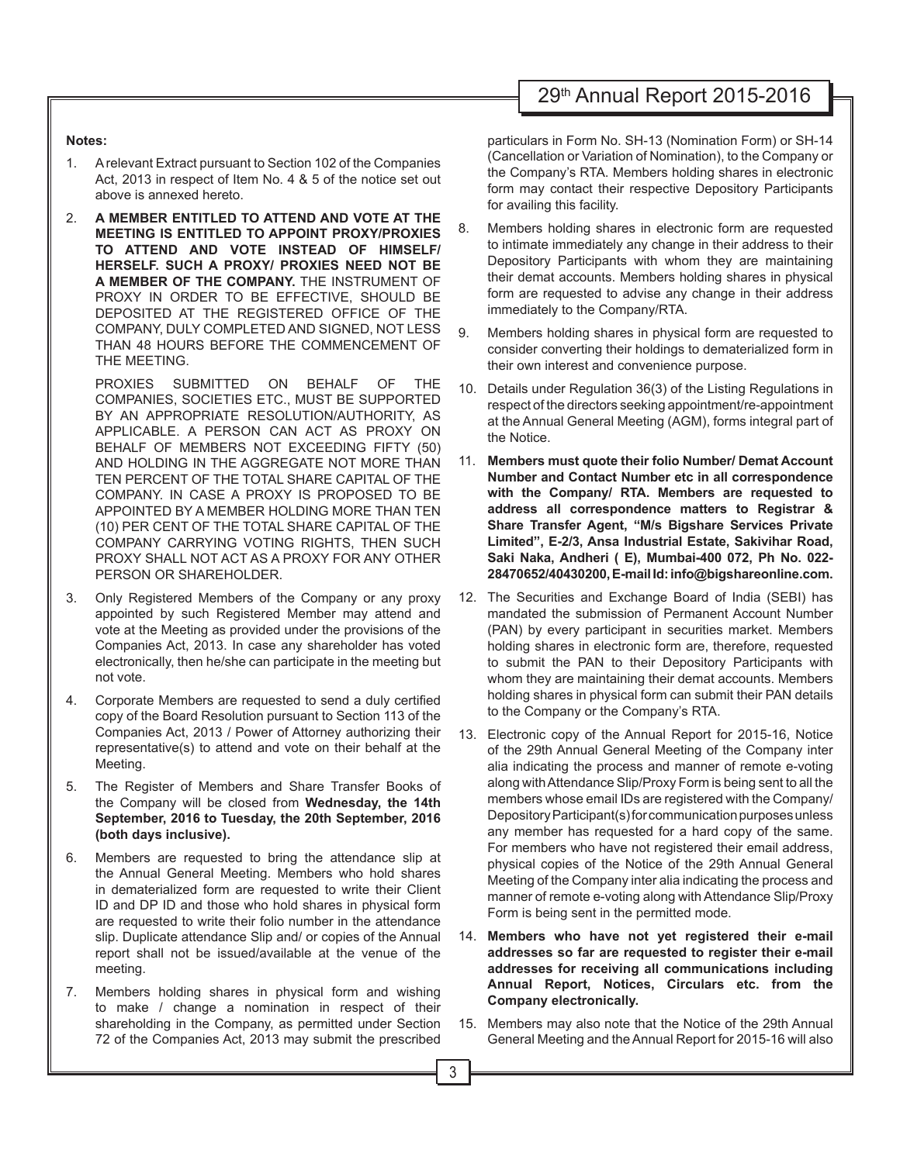# 29th Annual Report 2015-2016

### **Notes:**

- 1. A relevant Extract pursuant to Section 102 of the Companies Act, 2013 in respect of Item No. 4 & 5 of the notice set out above is annexed hereto.
- 2. **A MEMBER ENTITLED TO ATTEND AND VOTE AT THE MEETING IS ENTITLED TO APPOINT PROXY/PROXIES TO ATTEND AND VOTE INSTEAD OF HIMSELF/ HERSELF. SUCH A PROXY/ PROXIES NEED NOT BE A MEMBER OF THE COMPANY.** THE INSTRUMENT OF PROXY IN ORDER TO BE EFFECTIVE, SHOULD BE DEPOSITED AT THE REGISTERED OFFICE OF THE COMPANY, DULY COMPLETED AND SIGNED, NOT LESS THAN 48 HOURS BEFORE THE COMMENCEMENT OF THE MEETING.

PROXIES SUBMITTED ON BEHALF OF THE COMPANIES, SOCIETIES ETC., MUST BE SUPPORTED BY AN APPROPRIATE RESOLUTION/AUTHORITY, AS APPLICABLE. A PERSON CAN ACT AS PROXY ON BEHALF OF MEMBERS NOT EXCEEDING FIFTY (50) AND HOLDING IN THE AGGREGATE NOT MORE THAN TEN PERCENT OF THE TOTAL SHARE CAPITAL OF THE COMPANY. IN CASE A PROXY IS PROPOSED TO BE APPOINTED BY A MEMBER HOLDING MORE THAN TEN (10) PER CENT OF THE TOTAL SHARE CAPITAL OF THE COMPANY CARRYING VOTING RIGHTS, THEN SUCH PROXY SHALL NOT ACT AS A PROXY FOR ANY OTHER PERSON OR SHAREHOLDER.

- 3. Only Registered Members of the Company or any proxy appointed by such Registered Member may attend and vote at the Meeting as provided under the provisions of the Companies Act, 2013. In case any shareholder has voted electronically, then he/she can participate in the meeting but not vote.
- 4. Corporate Members are requested to send a duly certified copy of the Board Resolution pursuant to Section 113 of the Companies Act, 2013 / Power of Attorney authorizing their representative(s) to attend and vote on their behalf at the Meeting.
- 5. The Register of Members and Share Transfer Books of the Company will be closed from **Wednesday, the 14th September, 2016 to Tuesday, the 20th September, 2016 (both days inclusive).**
- 6. Members are requested to bring the attendance slip at the Annual General Meeting. Members who hold shares in dematerialized form are requested to write their Client ID and DP ID and those who hold shares in physical form are requested to write their folio number in the attendance slip. Duplicate attendance Slip and/ or copies of the Annual report shall not be issued/available at the venue of the meeting.
- 7. Members holding shares in physical form and wishing to make / change a nomination in respect of their shareholding in the Company, as permitted under Section 72 of the Companies Act, 2013 may submit the prescribed

particulars in Form No. SH-13 (Nomination Form) or SH-14 (Cancellation or Variation of Nomination), to the Company or the Company's RTA. Members holding shares in electronic form may contact their respective Depository Participants for availing this facility.

- 8. Members holding shares in electronic form are requested to intimate immediately any change in their address to their Depository Participants with whom they are maintaining their demat accounts. Members holding shares in physical form are requested to advise any change in their address immediately to the Company/RTA.
- 9. Members holding shares in physical form are requested to consider converting their holdings to dematerialized form in their own interest and convenience purpose.
- 10. Details under Regulation 36(3) of the Listing Regulations in respect of the directors seeking appointment/re-appointment at the Annual General Meeting (AGM), forms integral part of the Notice.
- 11. **Members must quote their folio Number/ Demat Account Number and Contact Number etc in all correspondence with the Company/ RTA. Members are requested to address all correspondence matters to Registrar & Share Transfer Agent, "M/s Bigshare Services Private Limited", E-2/3, Ansa Industrial Estate, Sakivihar Road, Saki Naka, Andheri ( E), Mumbai-400 072, Ph No. 022- 28470652/40430200, E-mail Id: info@bigshareonline.com.**
- 12. The Securities and Exchange Board of India (SEBI) has mandated the submission of Permanent Account Number (PAN) by every participant in securities market. Members holding shares in electronic form are, therefore, requested to submit the PAN to their Depository Participants with whom they are maintaining their demat accounts. Members holding shares in physical form can submit their PAN details to the Company or the Company's RTA.
- 13. Electronic copy of the Annual Report for 2015-16, Notice of the 29th Annual General Meeting of the Company inter alia indicating the process and manner of remote e-voting along with Attendance Slip/Proxy Form is being sent to all the members whose email IDs are registered with the Company/ Depository Participant(s) for communication purposes unless any member has requested for a hard copy of the same. For members who have not registered their email address, physical copies of the Notice of the 29th Annual General Meeting of the Company inter alia indicating the process and manner of remote e-voting along with Attendance Slip/Proxy Form is being sent in the permitted mode.
- 14. **Members who have not yet registered their e-mail addresses so far are requested to register their e-mail addresses for receiving all communications including Annual Report, Notices, Circulars etc. from the Company electronically.**
- 15. Members may also note that the Notice of the 29th Annual General Meeting and the Annual Report for 2015-16 will also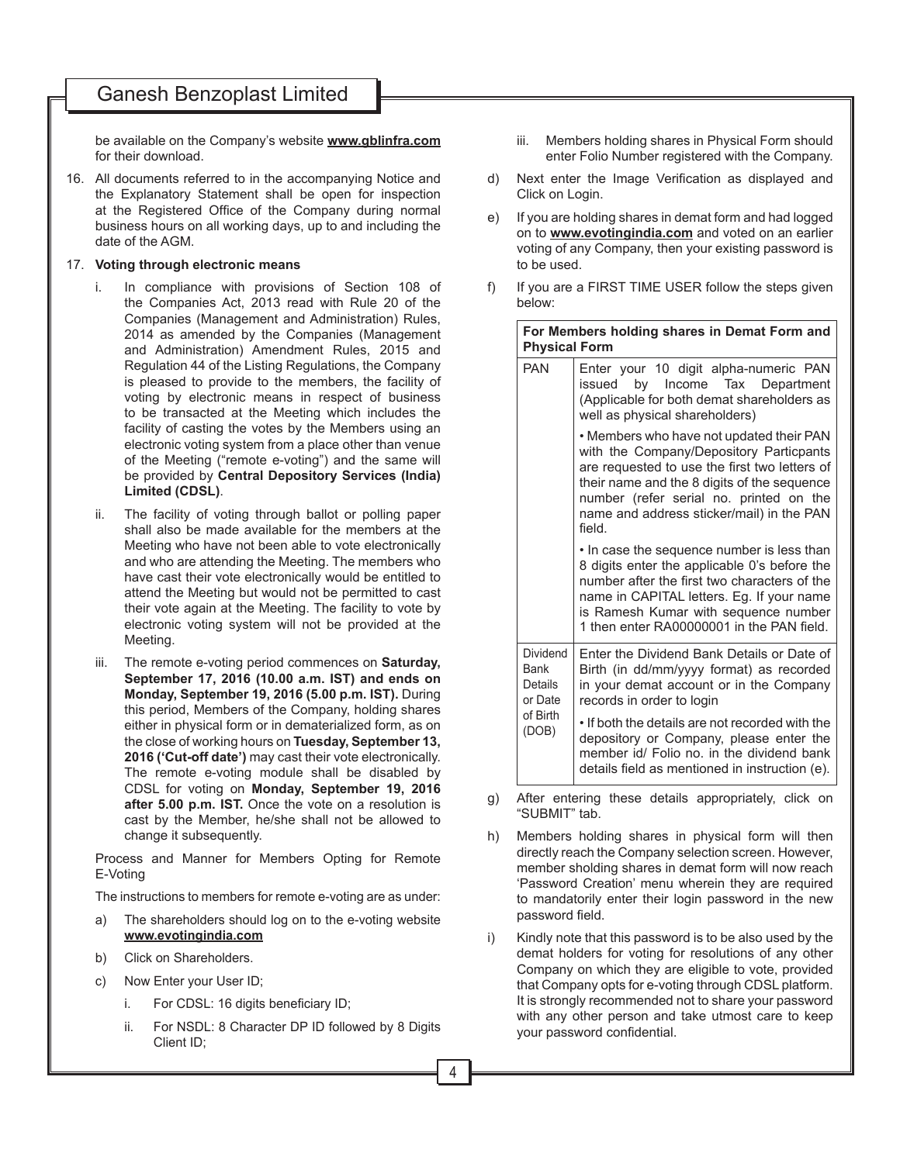## Ganesh Benzoplast Limited

be available on the Company's website **www.gblinfra.com**  for their download.

- 16. All documents referred to in the accompanying Notice and the Explanatory Statement shall be open for inspection at the Registered Office of the Company during normal business hours on all working days, up to and including the date of the AGM.
- 17. **Voting through electronic means**
	- i. In compliance with provisions of Section 108 of the Companies Act, 2013 read with Rule 20 of the Companies (Management and Administration) Rules, 2014 as amended by the Companies (Management and Administration) Amendment Rules, 2015 and Regulation 44 of the Listing Regulations, the Company is pleased to provide to the members, the facility of voting by electronic means in respect of business to be transacted at the Meeting which includes the facility of casting the votes by the Members using an electronic voting system from a place other than venue of the Meeting ("remote e-voting") and the same will be provided by **Central Depository Services (India) Limited (CDSL)**.
	- ii. The facility of voting through ballot or polling paper shall also be made available for the members at the Meeting who have not been able to vote electronically and who are attending the Meeting. The members who have cast their vote electronically would be entitled to attend the Meeting but would not be permitted to cast their vote again at the Meeting. The facility to vote by electronic voting system will not be provided at the Meeting.
	- iii. The remote e-voting period commences on **Saturday, September 17, 2016 (10.00 a.m. IST) and ends on Monday, September 19, 2016 (5.00 p.m. IST).** During this period, Members of the Company, holding shares either in physical form or in dematerialized form, as on the close of working hours on **Tuesday, September 13, 2016 ('Cut-off date')** may cast their vote electronically. The remote e-voting module shall be disabled by CDSL for voting on **Monday, September 19, 2016 after 5.00 p.m. IST.** Once the vote on a resolution is cast by the Member, he/she shall not be allowed to change it subsequently.

Process and Manner for Members Opting for Remote E-Voting

The instructions to members for remote e-voting are as under:

- a) The shareholders should log on to the e-voting website **www.evotingindia.com**
- b) Click on Shareholders.
- c) Now Enter your User ID;
	- i. For CDSL: 16 digits beneficiary  $ID$ ;
	- ii. For NSDL: 8 Character DP ID followed by 8 Digits Client ID;
- iii. Members holding shares in Physical Form should enter Folio Number registered with the Company.
- d) Next enter the Image Verification as displayed and Click on Login.
- e) If you are holding shares in demat form and had logged on to **www.evotingindia.com** and voted on an earlier voting of any Company, then your existing password is to be used.
- f) If you are a FIRST TIME USER follow the steps given below:

| For Members holding shares in Demat Form and<br><b>Physical Form</b> |                                                                                                                                                                                                                                                                                      |  |
|----------------------------------------------------------------------|--------------------------------------------------------------------------------------------------------------------------------------------------------------------------------------------------------------------------------------------------------------------------------------|--|
| <b>PAN</b>                                                           | Enter your 10 digit alpha-numeric PAN<br>by Income Tax Department<br>issued<br>(Applicable for both demat shareholders as<br>well as physical shareholders)                                                                                                                          |  |
|                                                                      | • Members who have not updated their PAN<br>with the Company/Depository Particpants<br>are requested to use the first two letters of<br>their name and the 8 digits of the sequence<br>number (refer serial no. printed on the<br>name and address sticker/mail) in the PAN<br>field |  |
|                                                                      | • In case the sequence number is less than<br>8 digits enter the applicable 0's before the<br>number after the first two characters of the<br>name in CAPITAL letters. Eg. If your name<br>is Ramesh Kumar with sequence number<br>1 then enter RA00000001 in the PAN field.         |  |
| <b>Dividend</b><br>Bank<br>Details<br>or Date<br>of Birth<br>(DOB)   | Enter the Dividend Bank Details or Date of<br>Birth (in dd/mm/yyyy format) as recorded<br>in your demat account or in the Company<br>records in order to login                                                                                                                       |  |
|                                                                      | • If both the details are not recorded with the<br>depository or Company, please enter the<br>member id/ Folio no, in the dividend bank<br>details field as mentioned in instruction (e).                                                                                            |  |

g) After entering these details appropriately, click on "SUBMIT" tab.

- h) Members holding shares in physical form will then directly reach the Company selection screen. However, member sholding shares in demat form will now reach 'Password Creation' menu wherein they are required to mandatorily enter their login password in the new password field.
- i) Kindly note that this password is to be also used by the demat holders for voting for resolutions of any other Company on which they are eligible to vote, provided that Company opts for e-voting through CDSL platform. It is strongly recommended not to share your password with any other person and take utmost care to keep your password confidential.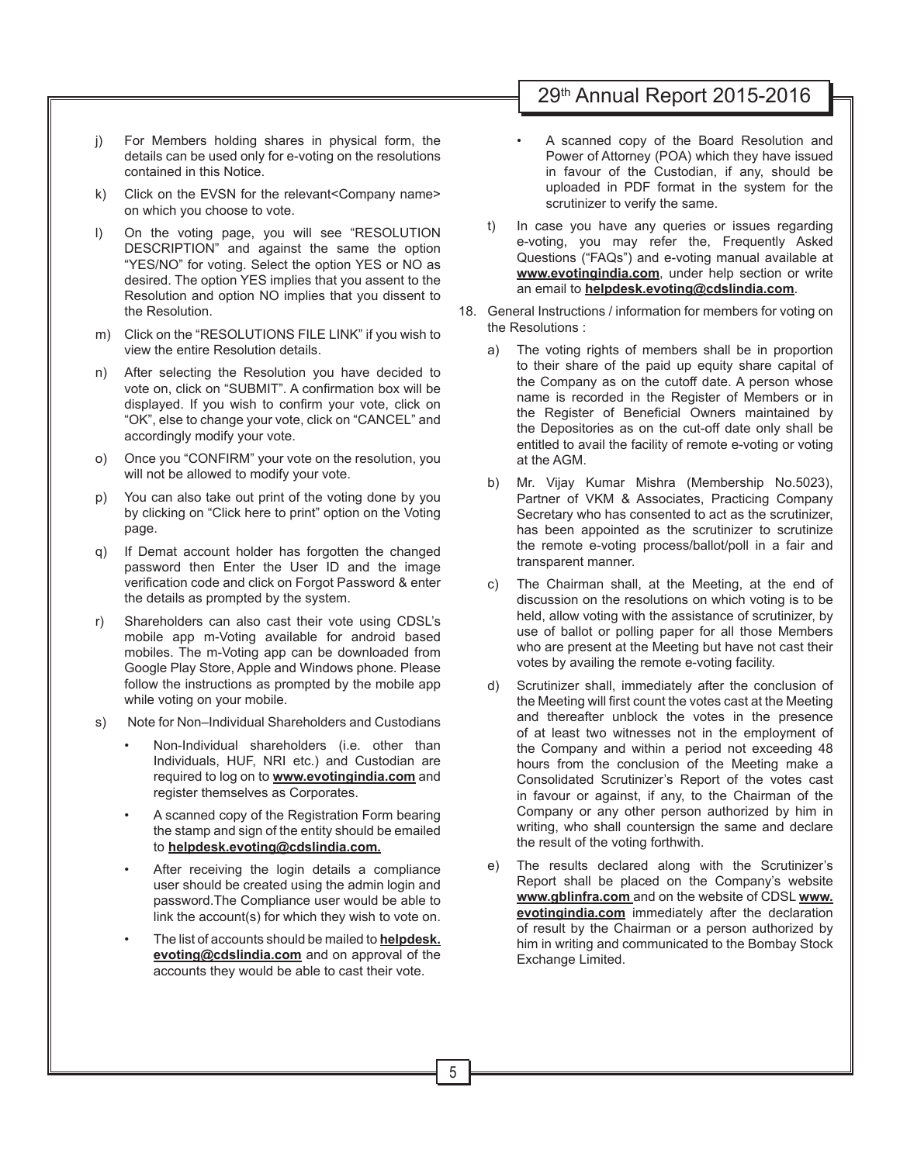# 29th Annual Report 2015-2016

- j) For Members holding shares in physical form, the details can be used only for e-voting on the resolutions contained in this Notice.
- k) Click on the EVSN for the relevant<Company name> on which you choose to vote.
- l) On the voting page, you will see "RESOLUTION DESCRIPTION" and against the same the option "YES/NO" for voting. Select the option YES or NO as desired. The option YES implies that you assent to the Resolution and option NO implies that you dissent to the Resolution.
- m) Click on the "RESOLUTIONS FILE LINK" if you wish to view the entire Resolution details.
- n) After selecting the Resolution you have decided to vote on, click on "SUBMIT". A confirmation box will be displayed. If you wish to confirm your vote, click on "OK", else to change your vote, click on "CANCEL" and accordingly modify your vote.
- o) Once you "CONFIRM" your vote on the resolution, you will not be allowed to modify your vote.
- p) You can also take out print of the voting done by you by clicking on "Click here to print" option on the Voting page.
- q) If Demat account holder has forgotten the changed password then Enter the User ID and the image verification code and click on Forgot Password & enter the details as prompted by the system.
- r) Shareholders can also cast their vote using CDSL's mobile app m-Voting available for android based mobiles. The m-Voting app can be downloaded from Google Play Store, Apple and Windows phone. Please follow the instructions as prompted by the mobile app while voting on your mobile.
- s) Note for Non–Individual Shareholders and Custodians
	- Non-Individual shareholders (i.e. other than Individuals, HUF, NRI etc.) and Custodian are required to log on to **www.evotingindia.com** and register themselves as Corporates.
	- A scanned copy of the Registration Form bearing the stamp and sign of the entity should be emailed to **helpdesk.evoting@cdslindia.com.**
	- After receiving the login details a compliance user should be created using the admin login and password.The Compliance user would be able to link the account(s) for which they wish to vote on.
	- The list of accounts should be mailed to **helpdesk. evoting@cdslindia.com** and on approval of the accounts they would be able to cast their vote.
- A scanned copy of the Board Resolution and Power of Attorney (POA) which they have issued in favour of the Custodian, if any, should be uploaded in PDF format in the system for the scrutinizer to verify the same.
- t) In case you have any queries or issues regarding e-voting, you may refer the, Frequently Asked Questions ("FAQs") and e-voting manual available at **www.evotingindia.com**, under help section or write an email to **helpdesk.evoting@cdslindia.com**.
- 18. General Instructions / information for members for voting on the Resolutions :
	- a) The voting rights of members shall be in proportion to their share of the paid up equity share capital of the Company as on the cutoff date. A person whose name is recorded in the Register of Members or in the Register of Beneficial Owners maintained by the Depositories as on the cut-off date only shall be entitled to avail the facility of remote e-voting or voting at the AGM.
	- b) Mr. Vijay Kumar Mishra (Membership No.5023), Partner of VKM & Associates, Practicing Company Secretary who has consented to act as the scrutinizer, has been appointed as the scrutinizer to scrutinize the remote e-voting process/ballot/poll in a fair and transparent manner.
	- c) The Chairman shall, at the Meeting, at the end of discussion on the resolutions on which voting is to be held, allow voting with the assistance of scrutinizer, by use of ballot or polling paper for all those Members who are present at the Meeting but have not cast their votes by availing the remote e-voting facility.
	- d) Scrutinizer shall, immediately after the conclusion of the Meeting will first count the votes cast at the Meeting and thereafter unblock the votes in the presence of at least two witnesses not in the employment of the Company and within a period not exceeding 48 hours from the conclusion of the Meeting make a Consolidated Scrutinizer's Report of the votes cast in favour or against, if any, to the Chairman of the Company or any other person authorized by him in writing, who shall countersign the same and declare the result of the voting forthwith.
	- e) The results declared along with the Scrutinizer's Report shall be placed on the Company's website **www.gblinfra.com** and on the website of CDSL **www. evotingindia.com** immediately after the declaration of result by the Chairman or a person authorized by him in writing and communicated to the Bombay Stock Exchange Limited.